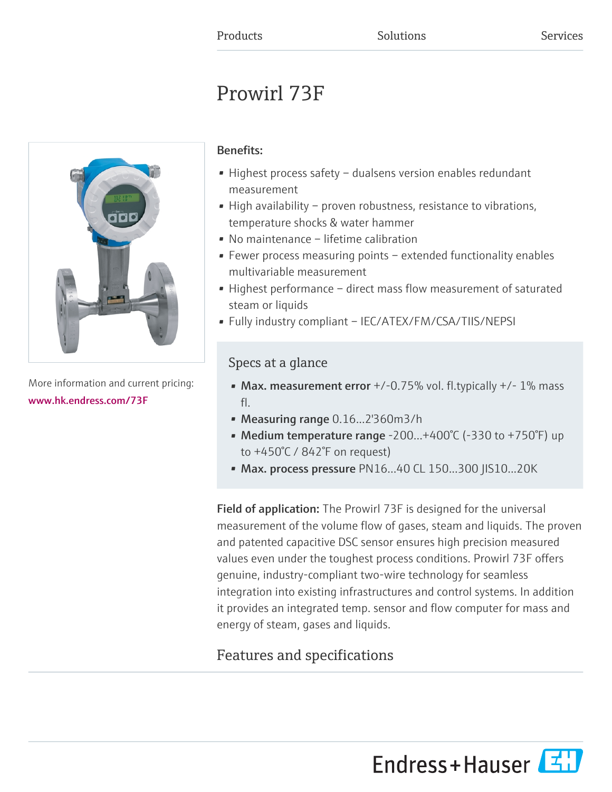# Prowirl 73F



More information and current pricing: [www.hk.endress.com/73F](https://www.hk.endress.com/73F)

# Benefits:

- Highest process safety dualsens version enables redundant measurement
- High availability proven robustness, resistance to vibrations, temperature shocks & water hammer
- No maintenance lifetime calibration
- Fewer process measuring points extended functionality enables multivariable measurement
- Highest performance direct mass flow measurement of saturated steam or liquids
- Fully industry compliant IEC/ATEX/FM/CSA/TIIS/NEPSI

# Specs at a glance

- Max. measurement error  $+/-0.75%$  vol. fl.typically  $+/-1%$  mass fl.
- Measuring range 0.16...2'360m3/h
- Medium temperature range -200... $+400^{\circ}$ C (-330 to +750 $^{\circ}$ F) up to +450°C / 842°F on request)
- Max. process pressure PN16...40 CL 150...300 JIS10...20K

Field of application: The Prowirl 73F is designed for the universal measurement of the volume flow of gases, steam and liquids. The proven and patented capacitive DSC sensor ensures high precision measured values even under the toughest process conditions. Prowirl 73F offers genuine, industry-compliant two-wire technology for seamless integration into existing infrastructures and control systems. In addition it provides an integrated temp. sensor and flow computer for mass and energy of steam, gases and liquids.

# Features and specifications

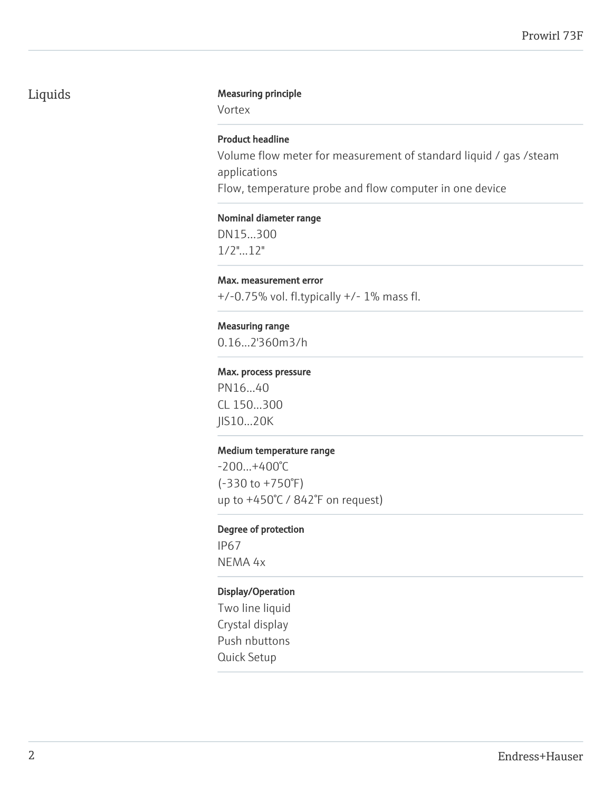# Liquids Measuring principle

Vortex

### Product headline

Volume flow meter for measurement of standard liquid / gas /steam applications Flow, temperature probe and flow computer in one device

#### Nominal diameter range

DN15...300 1/2"...12"

#### Max. measurement error

+/-0.75% vol. fl.typically +/- 1% mass fl.

#### Measuring range

0.16...2'360m3/h

#### Max. process pressure

PN16...40 CL 150...300 JIS10...20K

#### Medium temperature range

-200...+400°C (-330 to +750°F) up to +450°C / 842°F on request)

#### Degree of protection

IP67 NEMA 4x

#### Display/Operation

Two line liquid Crystal display Push nbuttons Quick Setup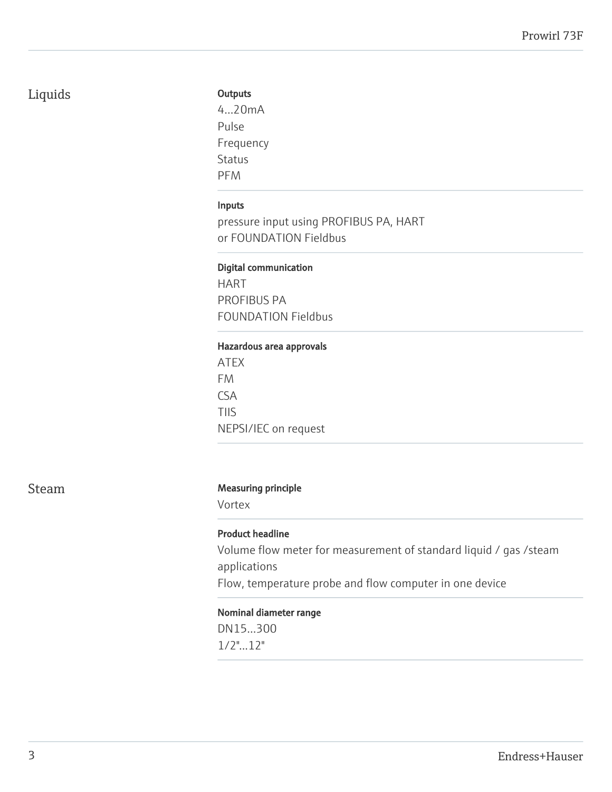# Liquids

# **Outputs**

4...20mA Pulse Frequency Status PFM

# Inputs

pressure input using PROFIBUS PA, HART or FOUNDATION Fieldbus

#### Digital communication

HART PROFIBUS PA FOUNDATION Fieldbus

#### Hazardous area approvals

ATEX FM CSA TIIS NEPSI/IEC on request

#### Steam Measuring principle

Vortex

#### Product headline

Volume flow meter for measurement of standard liquid / gas /steam applications Flow, temperature probe and flow computer in one device

#### Nominal diameter range

DN15...300 1/2"...12"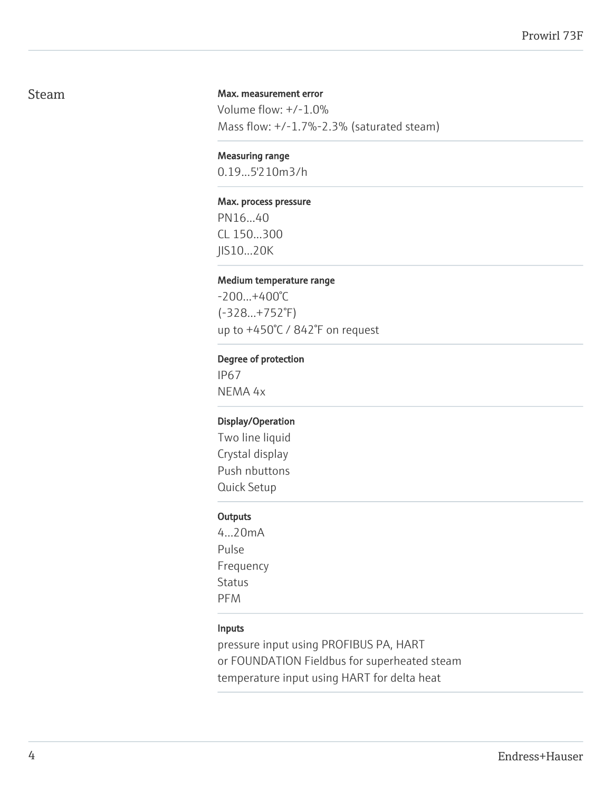# Steam

#### Max. measurement error

Volume flow: +/-1.0% Mass flow: +/-1.7%-2.3% (saturated steam)

#### Measuring range

0.19...5'210m3/h

#### Max. process pressure

PN16...40 CL 150...300 JIS10...20K

#### Medium temperature range

-200...+400°C (-328...+752°F) up to +450°C / 842°F on request

#### Degree of protection

IP67 NEMA 4x

#### Display/Operation

Two line liquid Crystal display Push nbuttons Quick Setup

#### **Outputs**

4...20mA Pulse Frequency Status PFM

#### Inputs

pressure input using PROFIBUS PA, HART or FOUNDATION Fieldbus for superheated steam temperature input using HART for delta heat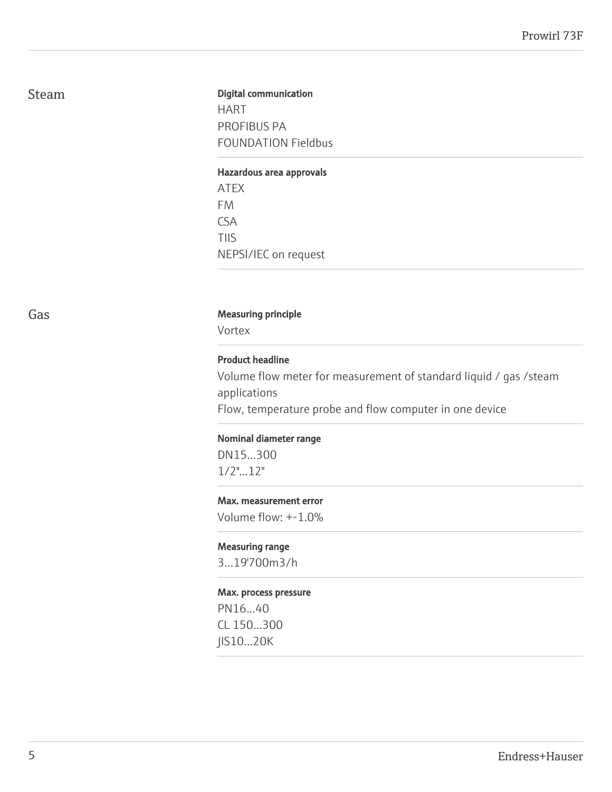# Steam

# Digital communication HART PROFIBUS PA FOUNDATION Fieldbus

#### Hazardous area approvals

ATEX FM CSA TIIS NEPSI/IEC on request

#### Gas **Gas** Measuring principle

Vortex

#### Product headline

Volume flow meter for measurement of standard liquid / gas /steam applications Flow, temperature probe and flow computer in one device

Nominal diameter range

DN15...300 1/2"...12"

#### Max. measurement error

Volume flow: +-1.0%

#### Measuring range

3...19'700m3/h

#### Max. process pressure

PN16...40 CL 150...300 JIS10...20K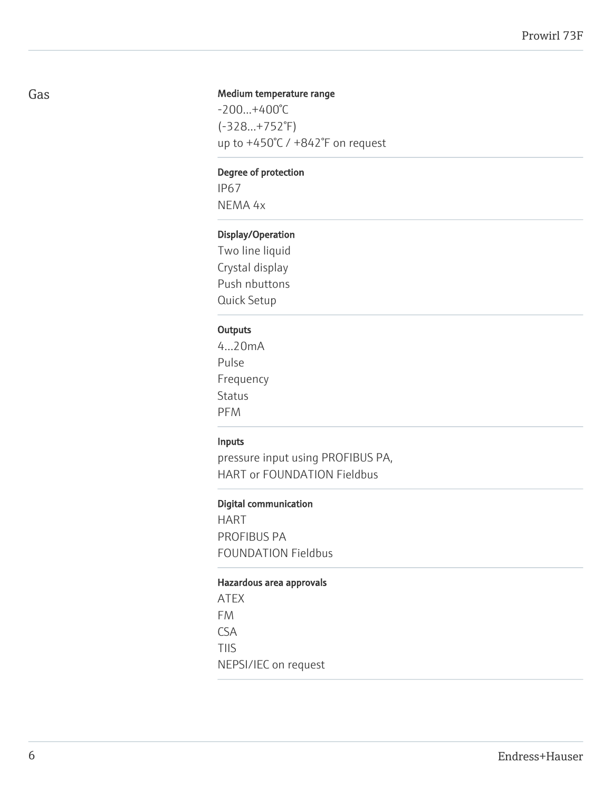#### Medium temperature range

-200...+400°C (-328...+752°F) up to +450°C / +842°F on request

#### Degree of protection

IP67 NEMA 4x

### Display/Operation

Two line liquid Crystal display Push nbuttons Quick Setup

#### **Outputs**

4...20mA Pulse Frequency Status PFM

#### Inputs

pressure input using PROFIBUS PA, HART or FOUNDATION Fieldbus

#### Digital communication

HART PROFIBUS PA FOUNDATION Fieldbus

#### Hazardous area approvals

ATEX FM CSA TIIS NEPSI/IEC on request